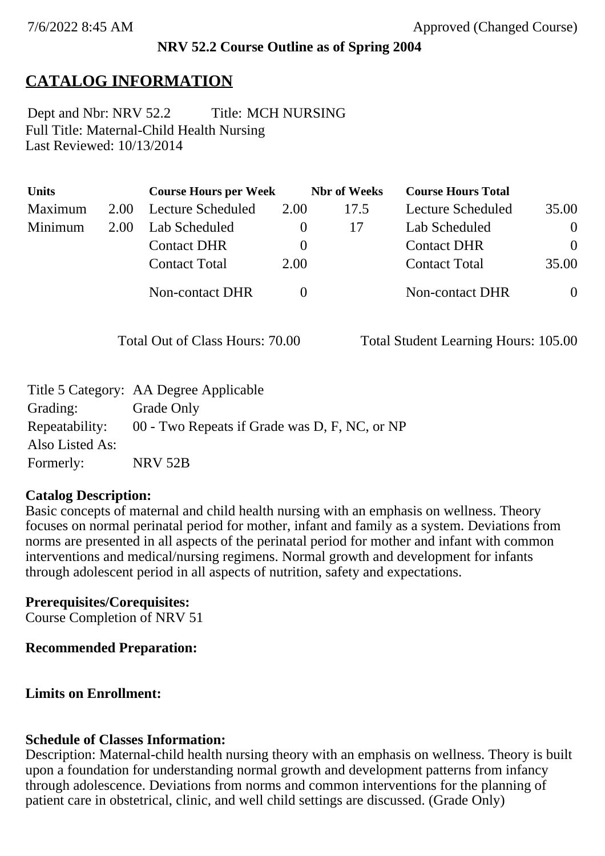## **NRV 52.2 Course Outline as of Spring 2004**

# **CATALOG INFORMATION**

Full Title: Maternal-Child Health Nursing Last Reviewed: 10/13/2014 Dept and Nbr: NRV 52.2 Title: MCH NURSING

| <b>Units</b> |      | <b>Course Hours per Week</b> |          | <b>Nbr</b> of Weeks | <b>Course Hours Total</b> |                |
|--------------|------|------------------------------|----------|---------------------|---------------------------|----------------|
| Maximum      | 2.00 | Lecture Scheduled            | 2.00     | 17.5                | Lecture Scheduled         | 35.00          |
| Minimum      | 2.00 | Lab Scheduled                | $\theta$ | 17                  | Lab Scheduled             | $\overline{0}$ |
|              |      | <b>Contact DHR</b>           | $\theta$ |                     | <b>Contact DHR</b>        | $\Omega$       |
|              |      | <b>Contact Total</b>         | 2.00     |                     | <b>Contact Total</b>      | 35.00          |
|              |      | Non-contact DHR              |          |                     | <b>Non-contact DHR</b>    | $\overline{0}$ |

Total Out of Class Hours: 70.00 Total Student Learning Hours: 105.00

|                 | Title 5 Category: AA Degree Applicable                       |
|-----------------|--------------------------------------------------------------|
| Grading:        | Grade Only                                                   |
|                 | Repeatability: 00 - Two Repeats if Grade was D, F, NC, or NP |
| Also Listed As: |                                                              |
| Formerly:       | <b>NRV 52B</b>                                               |

## **Catalog Description:**

Basic concepts of maternal and child health nursing with an emphasis on wellness. Theory focuses on normal perinatal period for mother, infant and family as a system. Deviations from norms are presented in all aspects of the perinatal period for mother and infant with common interventions and medical/nursing regimens. Normal growth and development for infants through adolescent period in all aspects of nutrition, safety and expectations.

## **Prerequisites/Corequisites:**

Course Completion of NRV 51

## **Recommended Preparation:**

## **Limits on Enrollment:**

## **Schedule of Classes Information:**

Description: Maternal-child health nursing theory with an emphasis on wellness. Theory is built upon a foundation for understanding normal growth and development patterns from infancy through adolescence. Deviations from norms and common interventions for the planning of patient care in obstetrical, clinic, and well child settings are discussed. (Grade Only)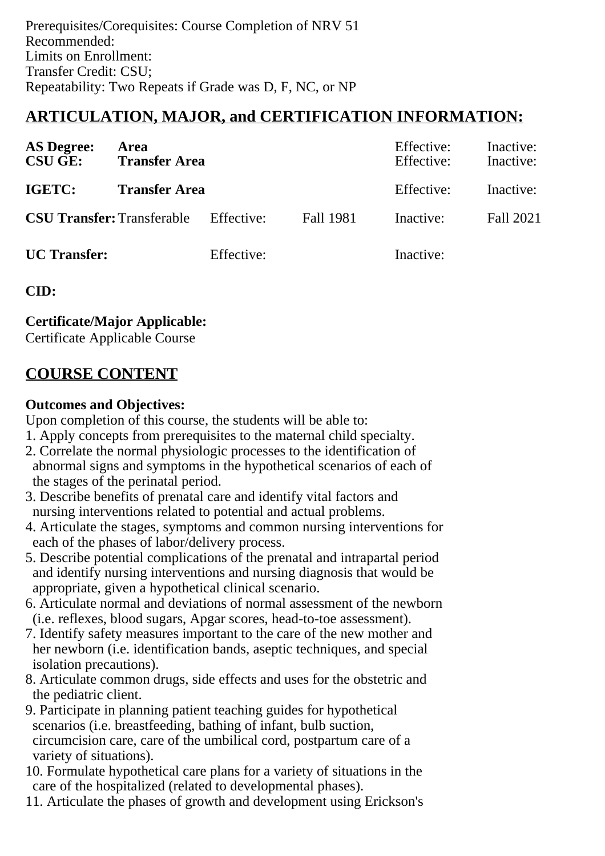Prerequisites/Corequisites: Course Completion of NRV 51 Recommended: Limits on Enrollment: Transfer Credit: CSU; Repeatability: Two Repeats if Grade was D, F, NC, or NP

# **ARTICULATION, MAJOR, and CERTIFICATION INFORMATION:**

| <b>AS Degree:</b><br><b>CSU GE:</b> | Area<br><b>Transfer Area</b> |            |                  | Effective:<br>Effective: | Inactive:<br>Inactive: |
|-------------------------------------|------------------------------|------------|------------------|--------------------------|------------------------|
| IGETC:                              | <b>Transfer Area</b>         |            |                  | Effective:               | Inactive:              |
| <b>CSU Transfer:</b> Transferable   |                              | Effective: | <b>Fall 1981</b> | Inactive:                | Fall 2021              |
| <b>UC</b> Transfer:                 |                              | Effective: |                  | Inactive:                |                        |

**CID:**

**Certificate/Major Applicable:** 

[Certificate Applicable Course](SR_ClassCheck.aspx?CourseKey=NRV52.2)

# **COURSE CONTENT**

## **Outcomes and Objectives:**

Upon completion of this course, the students will be able to:

- 1. Apply concepts from prerequisites to the maternal child specialty.
- 2. Correlate the normal physiologic processes to the identification of abnormal signs and symptoms in the hypothetical scenarios of each of the stages of the perinatal period.
- 3. Describe benefits of prenatal care and identify vital factors and nursing interventions related to potential and actual problems.
- 4. Articulate the stages, symptoms and common nursing interventions for each of the phases of labor/delivery process.
- 5. Describe potential complications of the prenatal and intrapartal period and identify nursing interventions and nursing diagnosis that would be appropriate, given a hypothetical clinical scenario.
- 6. Articulate normal and deviations of normal assessment of the newborn (i.e. reflexes, blood sugars, Apgar scores, head-to-toe assessment).
- 7. Identify safety measures important to the care of the new mother and her newborn (i.e. identification bands, aseptic techniques, and special isolation precautions).
- 8. Articulate common drugs, side effects and uses for the obstetric and the pediatric client.
- 9. Participate in planning patient teaching guides for hypothetical scenarios (i.e. breastfeeding, bathing of infant, bulb suction, circumcision care, care of the umbilical cord, postpartum care of a variety of situations).
- 10. Formulate hypothetical care plans for a variety of situations in the care of the hospitalized (related to developmental phases).
- 11. Articulate the phases of growth and development using Erickson's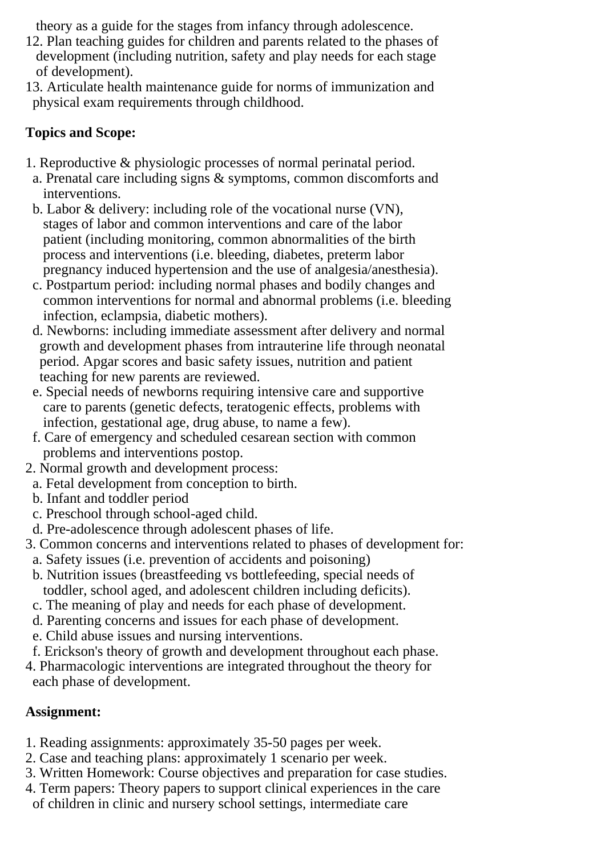theory as a guide for the stages from infancy through adolescence.

- 12. Plan teaching guides for children and parents related to the phases of development (including nutrition, safety and play needs for each stage of development).
- 13. Articulate health maintenance guide for norms of immunization and physical exam requirements through childhood.

# **Topics and Scope:**

- 1. Reproductive & physiologic processes of normal perinatal period.
- a. Prenatal care including signs & symptoms, common discomforts and interventions.
- b. Labor & delivery: including role of the vocational nurse (VN), stages of labor and common interventions and care of the labor patient (including monitoring, common abnormalities of the birth process and interventions (i.e. bleeding, diabetes, preterm labor pregnancy induced hypertension and the use of analgesia/anesthesia).
- c. Postpartum period: including normal phases and bodily changes and common interventions for normal and abnormal problems (i.e. bleeding infection, eclampsia, diabetic mothers).
- d. Newborns: including immediate assessment after delivery and normal growth and development phases from intrauterine life through neonatal period. Apgar scores and basic safety issues, nutrition and patient teaching for new parents are reviewed.
- e. Special needs of newborns requiring intensive care and supportive care to parents (genetic defects, teratogenic effects, problems with infection, gestational age, drug abuse, to name a few).
- f. Care of emergency and scheduled cesarean section with common problems and interventions postop.
- 2. Normal growth and development process:
- a. Fetal development from conception to birth.
- b. Infant and toddler period
- c. Preschool through school-aged child.
- d. Pre-adolescence through adolescent phases of life.
- 3. Common concerns and interventions related to phases of development for:
- a. Safety issues (i.e. prevention of accidents and poisoning)
- b. Nutrition issues (breastfeeding vs bottlefeeding, special needs of toddler, school aged, and adolescent children including deficits).
- c. The meaning of play and needs for each phase of development.
- d. Parenting concerns and issues for each phase of development.
- e. Child abuse issues and nursing interventions.
- f. Erickson's theory of growth and development throughout each phase.
- 4. Pharmacologic interventions are integrated throughout the theory for each phase of development.

## **Assignment:**

- 1. Reading assignments: approximately 35-50 pages per week.
- 2. Case and teaching plans: approximately 1 scenario per week.
- 3. Written Homework: Course objectives and preparation for case studies.
- 4. Term papers: Theory papers to support clinical experiences in the care of children in clinic and nursery school settings, intermediate care